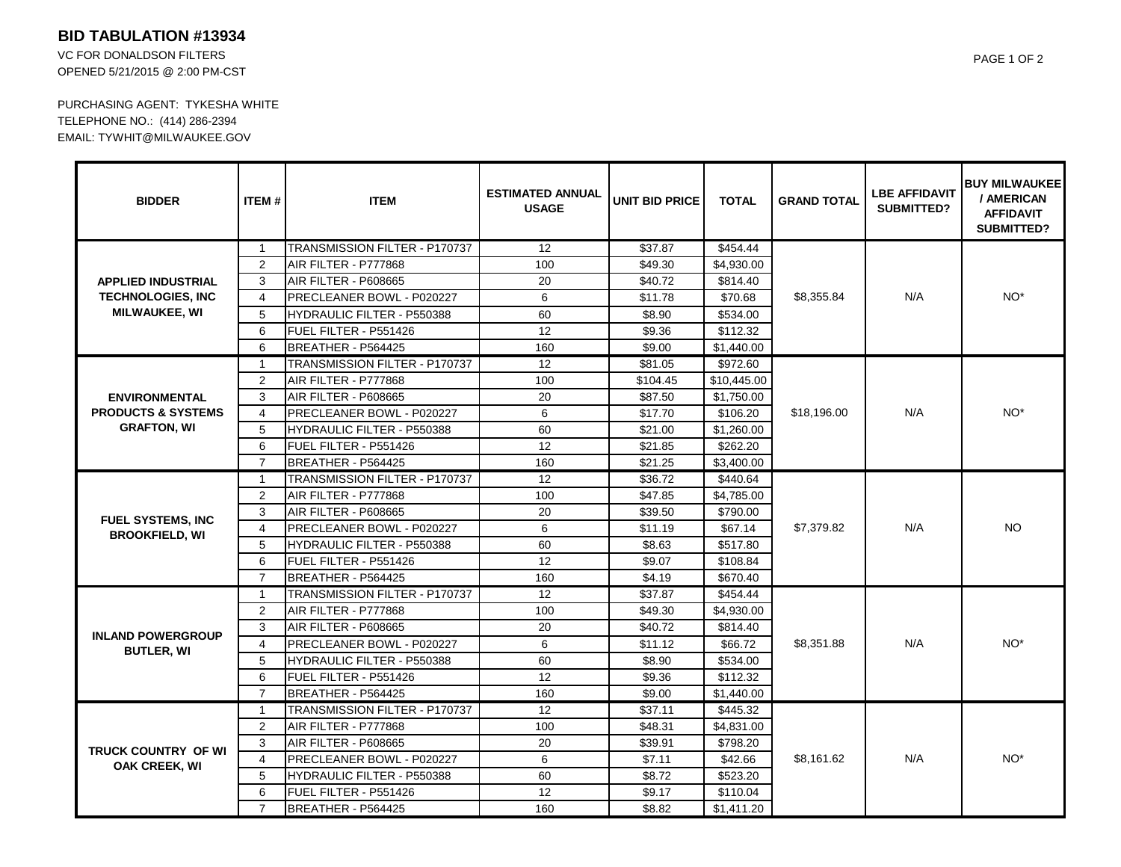## **BID TABULATION #13934**

VC FOR DONALDSON FILTERS OPENED 5/21/2015 @ 2:00 PM-CST

PURCHASING AGENT: TYKESHA WHITE TELEPHONE NO.: (414) 286-2394 EMAIL: TYWHIT@MILWAUKEE.GOV

| <b>BIDDER</b>                                                                 | <b>ITEM#</b>   | <b>ITEM</b>                       | <b>ESTIMATED ANNUAL</b><br><b>USAGE</b> | <b>UNIT BID PRICE</b> | <b>TOTAL</b> | <b>GRAND TOTAL</b> | <b>LBE AFFIDAVIT</b><br><b>SUBMITTED?</b> | <b>BUY MILWAUKEEI</b><br>/ AMERICAN<br><b>AFFIDAVIT</b><br><b>SUBMITTED?</b> |
|-------------------------------------------------------------------------------|----------------|-----------------------------------|-----------------------------------------|-----------------------|--------------|--------------------|-------------------------------------------|------------------------------------------------------------------------------|
| <b>APPLIED INDUSTRIAL</b><br><b>TECHNOLOGIES, INC</b><br><b>MILWAUKEE, WI</b> | $\mathbf{1}$   | TRANSMISSION FILTER - P170737     | $\overline{12}$                         | \$37.87               | \$454.44     | \$8,355.84         | N/A                                       | NO <sup>*</sup>                                                              |
|                                                                               | 2              | AIR FILTER - P777868              | 100                                     | \$49.30               | \$4,930.00   |                    |                                           |                                                                              |
|                                                                               | 3              | AIR FILTER - P608665              | 20                                      | \$40.72               | \$814.40     |                    |                                           |                                                                              |
|                                                                               | $\overline{4}$ | PRECLEANER BOWL - P020227         | 6                                       | \$11.78               | \$70.68      |                    |                                           |                                                                              |
|                                                                               | 5              | <b>HYDRAULIC FILTER - P550388</b> | 60                                      | \$8.90                | \$534.00     |                    |                                           |                                                                              |
|                                                                               | 6              | FUEL FILTER - P551426             | 12                                      | \$9.36                | \$112.32     |                    |                                           |                                                                              |
|                                                                               | 6              | BREATHER - P564425                | 160                                     | \$9.00                | \$1,440.00   |                    |                                           |                                                                              |
| <b>ENVIRONMENTAL</b><br><b>PRODUCTS &amp; SYSTEMS</b><br><b>GRAFTON, WI</b>   | $\mathbf{1}$   | TRANSMISSION FILTER - P170737     | $\overline{12}$                         | \$81.05               | \$972.60     | \$18,196.00        | N/A                                       | NO <sup>*</sup>                                                              |
|                                                                               | 2              | AIR FILTER - P777868              | 100                                     | \$104.45              | \$10,445.00  |                    |                                           |                                                                              |
|                                                                               | 3              | AIR FILTER - P608665              | 20                                      | \$87.50               | \$1,750.00   |                    |                                           |                                                                              |
|                                                                               | $\overline{4}$ | PRECLEANER BOWL - P020227         | 6                                       | \$17.70               | \$106.20     |                    |                                           |                                                                              |
|                                                                               | 5              | <b>HYDRAULIC FILTER - P550388</b> | 60                                      | \$21.00               | \$1,260.00   |                    |                                           |                                                                              |
|                                                                               | 6              | FUEL FILTER - P551426             | 12                                      | \$21.85               | \$262.20     |                    |                                           |                                                                              |
|                                                                               | $\overline{7}$ | BREATHER - P564425                | 160                                     | \$21.25               | \$3,400.00   |                    |                                           |                                                                              |
| <b>FUEL SYSTEMS, INC</b><br><b>BROOKFIELD, WI</b>                             | $\overline{1}$ | TRANSMISSION FILTER - P170737     | 12                                      | \$36.72               | \$440.64     | \$7,379.82         | N/A                                       | NO.                                                                          |
|                                                                               | $\overline{2}$ | AIR FILTER - P777868              | 100                                     | \$47.85               | \$4,785.00   |                    |                                           |                                                                              |
|                                                                               | 3              | AIR FILTER - P608665              | 20                                      | \$39.50               | \$790.00     |                    |                                           |                                                                              |
|                                                                               | $\overline{4}$ | PRECLEANER BOWL - P020227         | 6                                       | \$11.19               | \$67.14      |                    |                                           |                                                                              |
|                                                                               | 5              | <b>HYDRAULIC FILTER - P550388</b> | 60                                      | \$8.63                | \$517.80     |                    |                                           |                                                                              |
|                                                                               | 6              | FUEL FILTER - P551426             | 12                                      | \$9.07                | \$108.84     |                    |                                           |                                                                              |
|                                                                               | $\overline{7}$ | BREATHER - P564425                | 160                                     | \$4.19                | \$670.40     |                    |                                           |                                                                              |
| <b>INLAND POWERGROUP</b><br><b>BUTLER, WI</b>                                 | $\mathbf{1}$   | TRANSMISSION FILTER - P170737     | $\overline{12}$                         | \$37.87               | \$454.44     | \$8,351.88         | N/A                                       | NO <sup>*</sup>                                                              |
|                                                                               | 2              | AIR FILTER - P777868              | 100                                     | \$49.30               | \$4,930.00   |                    |                                           |                                                                              |
|                                                                               | 3              | AIR FILTER - P608665              | 20                                      | \$40.72               | \$814.40     |                    |                                           |                                                                              |
|                                                                               | $\overline{4}$ | PRECLEANER BOWL - P020227         | 6                                       | \$11.12               | \$66.72      |                    |                                           |                                                                              |
|                                                                               | 5              | HYDRAULIC FILTER - P550388        | 60                                      | \$8.90                | \$534.00     |                    |                                           |                                                                              |
|                                                                               | 6              | FUEL FILTER - P551426             | 12                                      | \$9.36                | \$112.32     |                    |                                           |                                                                              |
|                                                                               | $\overline{7}$ | BREATHER - P564425                | 160                                     | \$9.00                | \$1,440.00   |                    |                                           |                                                                              |
| TRUCK COUNTRY OF WI<br><b>OAK CREEK, WI</b>                                   | $\mathbf{1}$   | TRANSMISSION FILTER - P170737     | 12                                      | \$37.11               | \$445.32     | \$8,161.62         | N/A                                       | NO <sup>*</sup>                                                              |
|                                                                               | 2              | AIR FILTER - P777868              | 100                                     | \$48.31               | \$4,831.00   |                    |                                           |                                                                              |
|                                                                               | 3              | <b>AIR FILTER - P608665</b>       | 20                                      | \$39.91               | \$798.20     |                    |                                           |                                                                              |
|                                                                               | $\overline{4}$ | PRECLEANER BOWL - P020227         | 6                                       | \$7.11                | \$42.66      |                    |                                           |                                                                              |
|                                                                               | 5              | <b>HYDRAULIC FILTER - P550388</b> | 60                                      | \$8.72                | \$523.20     |                    |                                           |                                                                              |
|                                                                               | 6              | FUEL FILTER - P551426             | 12                                      | \$9.17                | \$110.04     |                    |                                           |                                                                              |
|                                                                               | $\overline{7}$ | BREATHER - P564425                | 160                                     | \$8.82                | \$1,411.20   |                    |                                           |                                                                              |